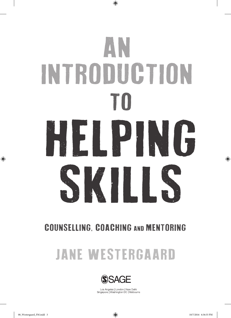# AN INTRODUCTION TO HELPING SKILLS

 $\bigoplus$ 

### COUNSELLING, COACHING AND MENTORING

## JANE WESTERGAARD



Los Angeles | London | New Delhi<br>Singapore | Washington DC | Melbourne

⊕

 $\bigoplus$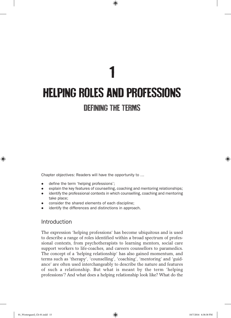## 1 HELPING ROLES AND PROFESSIONS DEFINING THE TERMS

 $\bigoplus$ 

Chapter objectives: Readers will have the opportunity to …

- define the term 'helping professions';
- $\bullet$  explain the key features of counselling, coaching and mentoring relationships;
- identify the professional contexts in which counselling, coaching and mentoring take place;
- consider the shared elements of each discipline;
- identify the differences and distinctions in approach.

#### Introduction

The expression 'helping professions' has become ubiquitous and is used to describe a range of roles identified within a broad spectrum of professional contexts, from psychotherapists to learning mentors, social care support workers to life-coaches, and careers counsellors to paramedics. The concept of a 'helping relationship' has also gained momentum, and terms such as 'therapy', 'counselling', 'coaching', 'mentoring' and 'guidance' are often used interchangeably to describe the nature and features of such a relationship. But what is meant by the term 'helping professions'? And what does a helping relationship look like? What do the

♠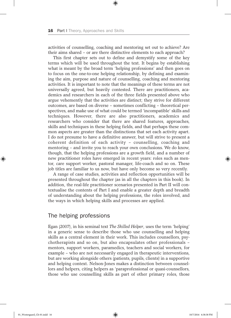activities of counselling, coaching and mentoring set out to achieve? Are their aims shared – or are there distinctive elements to each approach?

 $\textcircled{\scriptsize{*}}$ 

This first chapter sets out to define and demystify some of the key terms which will be used throughout the text. It begins by establishing what is meant by the broad term 'helping professions' and then goes on to focus on the one-to-one helping relationship, by defining and examining the aim, purpose and nature of counselling, coaching and mentoring activities. It is important to note that the meanings of these terms are not universally agreed, but heavily contested. There are practitioners, academics and researchers in each of the three fields presented above who argue vehemently that the activities are distinct; they strive for different outcomes, are based on diverse – sometimes conflicting – theoretical perspectives, and make use of what could be termed 'incompatible' skills and techniques. However, there are also practitioners, academics and researchers who consider that there are shared features, approaches, skills and techniques in these helping fields, and that perhaps these common aspects are greater than the distinctions that set each activity apart. I do not presume to have a definitive answer, but will strive to present a coherent definition of each activity – counselling, coaching and mentoring – and invite you to reach your own conclusions. We do know, though, that the helping professions are a growth field, and a number of new practitioner roles have emerged in recent years: roles such as mentor, care support worker, pastoral manager, life-coach and so on. These job titles are familiar to us now, but have only become so very recently.

A range of case studies, activities and reflection opportunities will be presented throughout the chapter (as in all the chapters in this book). In addition, the real-life practitioner scenarios presented in Part II will contextualise the contents of Part I and enable a greater depth and breadth of understanding about the helping professions, the roles involved, and the ways in which helping skills and processes are applied.

#### The helping professions

Egan (2007), in his seminal text *The Skilled Helper*, uses the term 'helping' in a generic sense to describe those who use counselling and helping skills as a central element in their work. This includes counsellors, psychotherapists and so on, but also encapsulates other professionals – mentors, support workers, paramedics, teachers and social workers, for example – who are not necessarily engaged in therapeutic interventions, but are working alongside others (patients, pupils, clients) in a supportive and helping context. Nelson-Jones makes a distinction between counsellors and helpers, citing helpers as 'paraprofessional or quasi-counsellors, those who use counselling skills as part of other primary roles, those

♠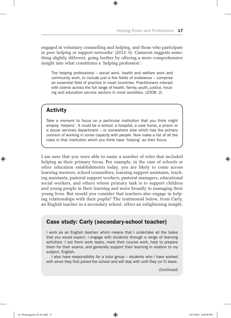engaged in voluntary counselling and helping, and those who participate in peer helping or support networks' (2012: 6). Cameron suggests something slightly different, going further by offering a more comprehensive insight into what constitutes a 'helping profession':

 $\bigoplus$ 

The helping professions – social work, health and welfare work and community work, to include just a few fields of endeavour – comprise an essential field of practice in most countries. Practitioners interact with clients across the full range of health, family, youth, justice, housing and education service sectors in most societies. (2008: 2)

#### Activity

♠

Take a moment to focus on a particular institution that you think might employ 'helpers'. It could be a school, a hospital, a care home, a prison or a social services department – or somewhere else which has the primary concern of working in some capacity with people. Now make a list of all the roles in that institution which you think have 'helping' as their focus.

I am sure that you were able to name a number of roles that included helping as their primary focus. For example, in the case of schools or other education establishments today, you are likely to come across learning mentors, school counsellors, learning support assistants, teaching assistants, pastoral support workers, pastoral managers, educational social workers, and others whose primary task is to support children and young people in their learning and more broadly in managing their young lives. But would you consider that teachers also engage in helping relationships with their pupils? The testimonial below, from Carly, an English teacher in a secondary school, offers an enlightening insight.

#### Case study: Carly (secondary-school teacher)

I work as an English teacher, which means that I undertake all the tasks that you would expect. I engage with students through a range of learning activities: I set them work tasks, mark their course work, help to prepare them for their exams, and generally support their learning in relation to my subject, English.

I also have responsibility for a tutor group – students who I have worked with since they first joined the school and will stay with until they (or I!) leave.

*(Continued)*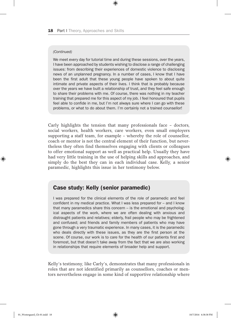#### *(Continued)*

We meet every day for tutorial time and during these sessions, over the years, I have been approached by students wishing to disclose a range of challenging issues: from describing their experiences of domestic violence to disclosing news of an unplanned pregnancy. In a number of cases, I know that I have been the first adult that these young people have spoken to about quite intimate and private aspects of their lives. I think that is probably because over the years we have built a relationship of trust, and they feel safe enough to share their problems with me. Of course, there was nothing in my teacher training that prepared me for this aspect of my job. I feel honoured that pupils feel able to confide in me, but I'm not always sure where I can go with these problems, or what to do about them. I'm certainly not a trained counsellor!

 $\textcircled{\scriptsize{*}}$ 

Carly highlights the tension that many professionals face – doctors, social workers, health workers, care workers, even small employers supporting a staff team, for example – whereby the role of counsellor, coach or mentor is not the central element of their function, but nevertheless they often find themselves engaging with clients or colleagues to offer emotional support as well as practical help. Usually they have had very little training in the use of helping skills and approaches, and simply do the best they can in each individual case. Kelly, a senior paramedic, highlights this issue in her testimony below.

#### Case study: Kelly (senior paramedic)

I was prepared for the clinical elements of the role of paramedic and feel confident in my medical practice. What I was less prepared for – and I know that many paramedics share this concern – is the emotional and psychological aspects of the work, where we are often dealing with anxious and distraught patients and relatives; elderly, frail people who may be frightened and confused; and friends and family members of patients who may have gone through a very traumatic experience. In many cases, it is the paramedic who deals directly with these issues, as they are the first person at the scene. Of course, our work is to care for the health of our patients first and foremost, but that doesn't take away from the fact that we are also working in relationships that require elements of broader help and support.

Kelly's testimony, like Carly's, demonstrates that many professionals in roles that are not identified primarily as counsellors, coaches or mentors nevertheless engage in some kind of supportive relationship where

♠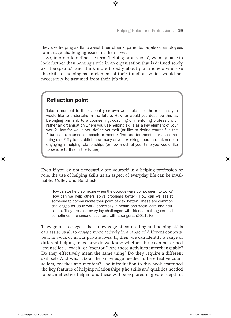they use helping skills to assist their clients, patients, pupils or employees to manage challenging issues in their lives.

 $\textcircled{\scriptsize{*}}$ 

So, in order to define the term 'helping professions', we may have to look further than naming a role in an organisation that is defined solely as 'therapeutic', and think more broadly about practitioners who use the skills of helping as an element of their function, which would not necessarily be assumed from their job title.

#### Reflection point

Take a moment to think about your own work role – or the role that you would like to undertake in the future. How far would you describe this as belonging primarily to a counselling, coaching or mentoring profession, or rather an organisation where you use helping skills as a key element of your work? How far would you define yourself (or like to define yourself in the future) as a counsellor, coach or mentor first and foremost – or as something else? Try to establish how many of your working hours are taken up in engaging in helping relationships (or how much of your time you would like to devote to this in the future).

Even if you do not necessarily see yourself in a helping profession or role, the use of helping skills as an aspect of everyday life can be invaluable. Culley and Bond ask:

How can we help someone when the obvious ways do not seem to work? How can we help others solve problems better? How can we assist someone to communicate their point of view better? These are common challenges for us in work, especially in health and social care and education. They are also everyday challenges with friends, colleagues and sometimes in chance encounters with strangers. (2011: ix)

They go on to suggest that knowledge of counselling and helping skills can assist us all to engage more actively in a range of different contexts, be it in work or in our private lives. If, then, we can identify a range of different helping roles, how do we know whether these can be termed 'counsellor', 'coach' or 'mentor'? Are these activities interchangeable? Do they effectively mean the same thing? Do they require a different skill-set? And what about the knowledge needed to be effective counsellors, coaches and mentors? The introduction to this book examined the key features of helping relationships (the skills and qualities needed to be an effective helper) and these will be explored in greater depth in

♠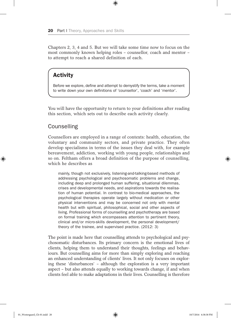Chapters 2, 3, 4 and 5. But we will take some time now to focus on the most commonly known helping roles – counsellor, coach and mentor – to attempt to reach a shared definition of each.

 $\textcircled{\scriptsize{*}}$ 

#### **Activity**

Before we explore, define and attempt to demystify the terms, take a moment to write down your own definitions of 'counsellor', 'coach' and 'mentor'.

You will have the opportunity to return to your definitions after reading this section, which sets out to describe each activity clearly.

#### **Counselling**

Counsellors are employed in a range of contexts: health, education, the voluntary and community sectors, and private practice. They often develop specialisms in terms of the issues they deal with, for example bereavement, addiction, working with young people, relationships and so on. Feltham offers a broad definition of the purpose of counselling, which he describes as

mainly, though not exclusively, listening-and-talking-based methods of addressing psychological and psychosomatic problems and change, including deep and prolonged human suffering, situational dilemmas, crises and developmental needs, and aspirations towards the realisation of human potential. In contrast to bio-medical approaches, the psychological therapies operate largely without medication or other physical interventions and may be concerned not only with mental health but with spiritual, philosophical, social and other aspects of living. Professional forms of counselling and psychotherapy are based on formal training which encompasses attention to pertinent theory, clinical and/or micro-skills development, the personal development/ theory of the trainee, and supervised practice. (2012: 3)

The point is made here that counselling attends to psychological and psychosomatic disturbances. Its primary concern is the emotional lives of clients, helping them to understand their thoughts, feelings and behaviours. But counselling aims for more than simply exploring and reaching an enhanced understanding of clients' lives. It not only focuses on exploring these 'disturbances' – although the exploration is a very important aspect – but also attends equally to working towards change, if and when clients feel able to make adaptations in their lives. Counselling is therefore

♠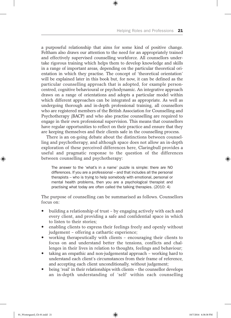a purposeful relationship that aims for some kind of positive change. Feltham also draws our attention to the need for an appropriately trained and effectively supervised counselling workforce. All counsellors undertake rigorous training which helps them to develop knowledge and skills in a range of important areas, depending on the particular theoretical orientation in which they practise. The concept of 'theoretical orientation' will be explained later in this book but, for now, it can be defined as the particular counselling approach that is adopted, for example personcentred, cognitive behavioural or psychodynamic. An integrative approach draws on a range of orientations and adopts a particular model within which different approaches can be integrated as appropriate. As well as undergoing thorough and in-depth professional training, all counsellors who are registered members of the British Association for Counselling and Psychotherapy (BACP) and who also practise counselling are required to engage in their own professional supervision. This means that counsellors have regular opportunities to reflect on their practice and ensure that they are keeping themselves and their clients safe in the counselling process.

 $\textcircled{\scriptsize{*}}$ 

There is an on-going debate about the distinctions between counselling and psychotherapy, and although space does not allow an in-depth exploration of these perceived differences here, Claringbull provides a useful and pragmatic response to the question of the differences between counselling and psychotherapy:

The answer to the 'what's in a name' puzzle is simple: there are NO differences. If you are a professional – and that includes all the personal therapists – who is trying to help somebody with emotional, personal or mental health problems, then you are a psychological therapist and practising what today are often called the talking therapies. (2010: 4)

The purpose of counselling can be summarised as follows. Counsellors focus on:

- $\bullet$  building a relationship of trust by engaging actively with each and every client, and providing a safe and confidential space in which to listen to their stories;
- enabling clients to express their feelings freely and openly without judgement – offering a cathartic experience;
- y working therapeutically with clients encouraging their clients to focus on and understand better the tensions, conflicts and challenges in their lives in relation to thoughts, feelings and behaviour;
- taking an empathic and non-judgemental approach working hard to understand each client's circumstances from their frame of reference, and accepting each client unconditionally, without judgement;
- being 'real' in their relationships with clients the counsellor develops an in-depth understanding of 'self' within each counselling

01\_Westergaard\_Ch-01.indd 21 10/7/2016 6:38:38 PM

♠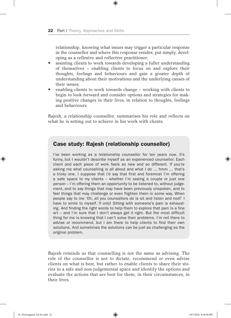relationship, knowing what issues may trigger a particular response in the counsellor and where this response resides; put simply, developing as a reflexive and reflective practitioner;

 $\textcircled{\scriptsize{*}}$ 

- assisting clients to work towards developing a fuller understanding of themselves – enabling clients to focus on and explore their thoughts, feelings and behaviours and gain a greater depth of understanding about their motivations and the underlying causes of their issues;
- enabling clients to work towards change working with clients to begin to look forward and consider options and strategies for making positive changes in their lives, in relation to thoughts, feelings and behaviours.

Rajesh, a relationship counsellor, summarises his role and reflects on what he is setting out to achieve in his work with clients.

#### Case study: Rajesh (relationship counsellor)

I've been working as a relationship counsellor for ten years now. It's funny, but I wouldn't describe myself as an experienced counsellor. Each client and each piece of work feels so new and so different. If you're asking me what counselling is all about and what I do … hmm … that's a tricky one. I suppose that I'd say that first and foremost I'm offering a safe space to my clients – whether I'm seeing a couple or just one person – I'm offering them an opportunity to be listened to, without judgement, and to say things that may have been previously unspoken, and to feel things that may challenge or even frighten them in some way. When people say to me 'Oh, all you counsellors do is sit and listen and nod!' I have to smile to myself. If only! Sitting with someone's pain is exhausting. And finding the right words to help them to explore that pain is a fine art – and I'm sure that I don't always get it right. But the most difficult thing for me is knowing that I can't solve their problems. I'm not there to advise or recommend, but I am there to help clients to find their own solutions. And sometimes the solutions can be just as challenging as the original problem.

Rajesh reminds us that counselling is not the same as advising. The role of the counsellor is not to dictate, recommend or even advise clients on what is best, but rather to enable clients to share their stories in a safe and non-judgemental space and identify the options and evaluate the actions that are best for them, in their circumstances, in their lives.

⊕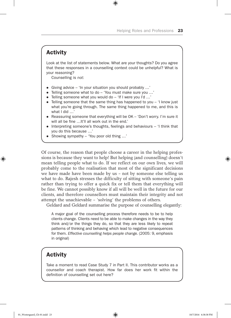#### **Activity**

Look at the list of statements below. What are your thoughts? Do you agree that these responses in a counselling context could be unhelpful? What is your reasoning?

 $\bigoplus$ 

Counselling is *not*:

- Giving advice 'In your situation you should probably  $\ldots$ '
- Telling someone what to do 'You must make sure you ...'
- Telling someone what you would do  $-$  'If I were you I'd ...'
- $\bullet$  Telling someone that the same thing has happened to you 'I know just what you're going through. The same thing happened to me, and this is what I did …'
- Reassuring someone that everything will be OK 'Don't worry. I'm sure it will all be fine …It'll all work out in the end.'
- $\bullet$  Interpreting someone's thoughts, feelings and behaviours 'I think that you do this because …'
- Showing sympathy 'You poor old thing ...'

Of course, the reason that people choose a career in the helping professions is because they want to help! But helping (and counselling) doesn't mean telling people what to do. If we reflect on our own lives, we will probably come to the realisation that most of the significant decisions we have made have been made by us – not by someone else telling us what to do. Rajesh stresses the difficulty of sitting with someone's pain rather than trying to offer a quick fix or tell them that everything will be fine. We cannot possibly know if all will be well in the future for our clients, and therefore counsellors must maintain their integrity and not attempt the unachievable – 'solving' the problems of others.

Geldard and Geldard summarise the purpose of counselling elegantly:

A major goal of the counselling process therefore needs to be to help clients change. Clients need to be able to make changes in the way they think and/or the things they do, so that they are less likely to repeat patterns of thinking and behaving which lead to negative consequences for them. *Effective counselling helps people change.* (2005: 9, emphasis in original)

#### **Activity**

Take a moment to read Case Study 7 in Part II. This contributor works as a counsellor and coach therapist. How far does her work fit within the definition of counselling set out here?

⊕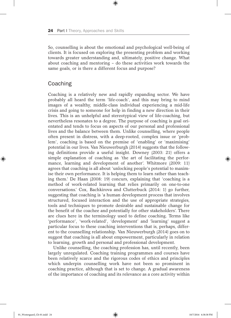So, counselling is about the emotional and psychological well-being of clients. It is focused on exploring the presenting problem and working towards greater understanding and, ultimately, positive change. What about coaching and mentoring – do these activities work towards the same goals, or is there a different focus and purpose?

 $\textcircled{\scriptsize{*}}$ 

#### Coaching

Coaching is a relatively new and rapidly expanding sector. We have probably all heard the term 'life-coach', and this may bring to mind images of a wealthy, middle-class individual experiencing a mid-life crisis and going to someone for help in finding a new direction in their lives. This is an unhelpful and stereotypical view of life-coaching, but nevertheless resonates to a degree. The purpose of coaching is goal orientated and tends to focus on aspects of our personal and professional lives and the balance between them. Unlike counselling, where people often present in distress, with a deep-rooted, complex issue or 'problem', coaching is based on the premise of 'enabling' or 'maximising' potential in our lives. Van Nieuwerburgh (2014) suggests that the following definitions provide a useful insight. Downey (2003: 21) offers a simple explanation of coaching as 'the art of facilitating the performance, learning and development of another'. Whitmore (2009: 11) agrees that coaching is all about 'unlocking people's potential to maximise their own performance. It is helping them to learn rather than teaching them.' De Haan (2008: 19) concurs, explaining that 'coaching is a method of work-related learning that relies primarily on one-to-one conversations.' Cox, Bachkirova and Clutterbuck (2014: 1) go further, suggesting that coaching is 'a human development process that involves structured, focused interaction and the use of appropriate strategies, tools and techniques to promote desirable and sustainable change for the benefit of the coachee and potentially for other stakeholders'. There are clues here in the terminology used to define coaching. Terms like 'performance', 'work-related', 'development' and 'learning' suggest a particular focus to these coaching interventions that is, perhaps, different to the counselling relationship. Van Nieuwerburgh (2014) goes on to suggest that coaching is all about empowerment, particularly in relation to learning, growth and personal and professional development.

Unlike counselling, the coaching profession has, until recently, been largely unregulated. Coaching training programmes and courses have been relatively scarce and the rigorous codes of ethics and principles which underpin counselling work have not been so prominent in coaching practice, although that is set to change. A gradual awareness of the importance of coaching and its relevance as a core activity within

♠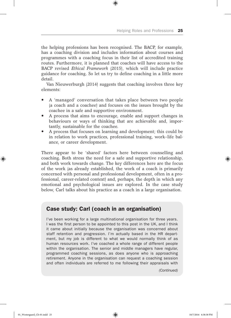the helping professions has been recognised. The BACP, for example, has a coaching division and includes information about courses and programmes with a coaching focus in their list of accredited training routes. Furthermore, it is planned that coaches will have access to the BACP revised *Ethical Framework* (2015), which will include practice guidance for coaching. So let us try to define coaching in a little more detail.

 $\textcircled{\scriptsize{*}}$ 

Van Nieuwerburgh (2014) suggests that coaching involves three key elements:

- y A 'managed' conversation that takes place between two people (a coach and a coachee) and focuses on the issues brought by the coachee in a safe and supportive environment.
- A process that aims to encourage, enable and support changes in behaviours or ways of thinking that are achievable and, importantly, sustainable for the coachee.
- A process that focuses on learning and development; this could be in relation to work practices, professional training, work–life balance, or career development.

There appear to be 'shared' factors here between counselling and coaching. Both stress the need for a safe and supportive relationship, and both work towards change. The key differences here are the focus of the work (as already established, the work of a coach is primarily concerned with personal and professional development, often in a professional, career-related context) and, perhaps, the depth in which any emotional and psychological issues are explored. In the case study below, Carl talks about his practice as a coach in a large organisation.

#### Case study: Carl (coach in an organisation)

I've been working for a large multinational organisation for three years. I was the first person to be appointed to this post in the UK, and I think it came about initially because the organisation was concerned about staff retention and progression. I'm actually based in the HR department, but my job is different to what we would normally think of as human resources work. I've coached a whole range of different people within the organisation. The senior and middle managers have regular, programmed coaching sessions, as does anyone who is approaching retirement. Anyone in the organisation can request a coaching session and often individuals are referred to me following their appraisals with

*(Continued)*

⊕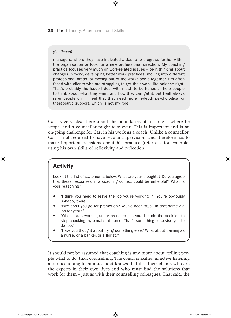#### *(Continued)*

managers, where they have indicated a desire to progress further within the organisation or look for a new professional direction. My coaching practice focuses very much on work-related issues – be it thinking about changes in work, developing better work practices, moving into different professional areas, or moving out of the workplace altogether. I'm often faced with clients who are struggling to get their work–life balance right. That's probably the issue I deal with most, to be honest. I help people to think about what they want, and how they can get it, but I will always refer people on if I feel that they need more in-depth psychological or therapeutic support, which is not my role.

 $\textcircled{\scriptsize{*}}$ 

Carl is very clear here about the boundaries of his role – where he 'stops' and a counsellor might take over. This is important and is an on-going challenge for Carl in his work as a coach. Unlike a counsellor, Carl is not required to have regular supervision, and therefore has to make important decisions about his practice (referrals, for example) using his own skills of reflexivity and reflection.

#### **Activity**

⊕

Look at the list of statements below. What are your thoughts? Do you agree that these responses in a coaching context could be unhelpful? What is your reasoning?

- 'I think you need to leave the job you're working in. You're obviously unhappy there!'
- 'Why don't you go for promotion? You've been stuck in that same old job for years.'
- 'When I was working under pressure like you, I made the decision to stop checking my e-mails at home. That's something I'd advise you to do too.'
- 'Have you thought about trying something else? What about training as a nurse, or a banker, or a florist?'

It should not be assumed that coaching is any more about 'telling people what to do' than counselling. The coach is skilled in active listening and questioning techniques, and knows that it is their clients who are the experts in their own lives and who must find the solutions that work for them – just as with their counselling colleagues. That said, the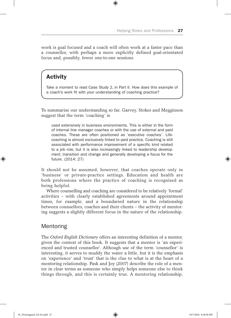work is goal focused and a coach will often work at a faster pace than a counsellor, with perhaps a more explicitly defined goal-orientated focus and, possibly, fewer one-to-one sessions.

 $\textcircled{\scriptsize{*}}$ 

#### Activity

Take a moment to read Case Study 2, in Part II. How does this example of a coach's work fit with your understanding of coaching practice?

To summarise our understanding so far, Garvey, Stokes and Megginson suggest that the term 'coaching' is

used extensively in business environments. This is either in the form of internal line manager coaches or with the use of external and paid coaches. These are often positioned as 'executive coaches'. Lifecoaching is almost exclusively linked to paid practice. Coaching is still associated with performance improvement of a specific kind related to a job role, but it is also increasingly linked to leadership development, transition and change and generally developing a focus for the future. (2014: 27)

It should not be assumed, however, that coaches operate only in 'business' or private-practice settings. Education and health are both professions where the practice of coaching is recognised as being helpful.

Where counselling and coaching are considered to be relatively 'formal' activities – with clearly established agreements around appointment times, for example, and a boundaried nature in the relationship between counsellors, coaches and their clients – the activity of mentoring suggests a slightly different focus in the nature of the relationship.

#### Mentoring

The *Oxford English Dictionary* offers an interesting definition of a mentor, given the context of this book. It suggests that a mentor is 'an experienced and trusted counsellor'. Although use of the term 'counsellor' is interesting, it serves to muddy the water a little, but it is the emphasis on 'experience' and 'trust' that is the clue to what is at the heart of a mentoring relationship. Pask and Joy (2007) describe the role of a mentor in clear terms as someone who simply helps someone else to think things through, and this is certainly true. A mentoring relationship,

♠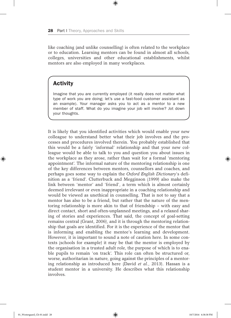like coaching (and unlike counselling) is often related to the workplace or to education. Learning mentors can be found in almost all schools, colleges, universities and other educational establishments, whilst mentors are also employed in many workplaces.

 $\textcircled{\scriptsize{*}}$ 

#### **Activity**

Imagine that you are currently employed (it really does not matter what type of work you are doing; let's use a fast-food customer assistant as an example). Your manager asks you to act as a mentor to a new member of staff. What do you imagine your job will involve? Jot down your thoughts.

It is likely that you identified activities which would enable your new colleague to understand better what their job involves and the processes and procedures involved therein. You probably established that this would be a fairly 'informal' relationship and that your new colleague would be able to talk to you and question you about issues in the workplace as they arose, rather than wait for a formal 'mentoring appointment'. The informal nature of the mentoring relationship is one of the key differences between mentors, counsellors and coaches, and perhaps goes some way to explain the *Oxford English Dictionary*'s definition as a 'friend'. Clutterbuck and Megginson (1999) also make the link between 'mentor' and 'friend', a term which is almost certainly deemed irrelevant or even inappropriate in a coaching relationship and would be viewed as unethical in counselling. That is not to say that a mentor has also to be a friend, but rather that the nature of the mentoring relationship is more akin to that of friendship – with easy and direct contact, short and often-unplanned meetings, and a relaxed sharing of stories and experiences. That said, the concept of goal-setting remains central (Grant, 2006), and it is through the mentoring relationship that goals are identified. For it is the experience of the mentor that is informing and enabling the mentee's learning and development. However, it is important to sound a note of caution here. In some contexts (schools for example) it may be that the mentor is employed by the organisation in a trusted adult role, the purpose of which is to enable pupils to remain 'on track'. This role can often be structured or, worse, authoritarian in nature, going against the principles of a mentoring relationship as introduced here (David *et al.*, 2013). Hassan is a student mentor in a university. He describes what this relationship involves.

♠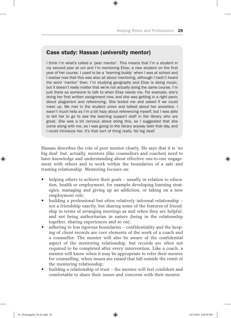#### Case study: Hassan (university mentor)

I think I'm what's called a 'peer mentor'. This means that I'm a student in my second year at uni and I'm mentoring Elise, a new student on the first year of her course. I used to be a 'learning buddy' when I was at school and I realise now that this was also all about mentoring, although I hadn't heard the word 'mentor' then. I'm studying geography and Elise is doing music, but it doesn't really matter that we're not actually doing the same course. I'm just there as someone to talk to when Elise needs me. For example, she's doing her first written assignment now, and she was getting in a right panic about plagiarism and referencing. She texted me and asked if we could meet up. We met in the student union and talked about her anxieties. I wasn't much help as I'm a bit hazy about referencing myself, but I was able to tell her to go to see the learning support staff in the library, who are great. She was a bit nervous about doing this, so I suggested that she come along with me, as I was going to the library anyway later that day, and I could introduce her. It's that sort of thing really. No big deal!

 $\textcircled{\scriptsize{*}}$ 

Hassan describes the role of peer mentor clearly. He says that it is 'no big deal' but, actually, mentors (like counsellors and coaches) need to have knowledge and understanding about effective one-to-one engagement with others and to work within the boundaries of a safe and trusting relationship. Mentoring focuses on:

- helping others to achieve their goals usually in relation to education, health or employment, for example developing learning strategies, managing and giving up an addiction, or taking on a new employment role;
- building a professional but often relatively informal relationship not a friendship exactly, but sharing some of the features of friendship in terms of arranging meetings as and when they are helpful, and not being authoritarian in nature (being in the relationship together, sharing experiences and so on);
- $\bullet$  adhering to less rigorous boundaries confidentiality and the keeping of client records are core elements of the work of a coach and a counsellor. The mentor will also be aware of the confidential aspect of the mentoring relationship, but records are often not required to be completed after every intervention. Like a coach, a mentor will know when it may be appropriate to refer their mentee for counselling, when issues are raised that fall outside the remit of the mentoring relationship;
- building a relationship of trust the mentee will feel confident and comfortable to share their issues and concerns with their mentor.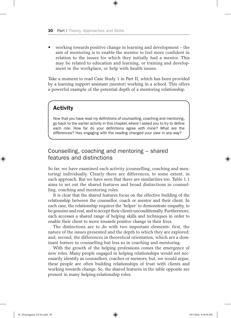y working towards positive change in learning and development – the aim of mentoring is to enable the mentee to feel more confident in relation to the issues for which they initially had a mentor. This may be related to education and learning, or training and development in the workplace, or help with health issues.

 $\textcircled{\scriptsize{*}}$ 

Take a moment to read Case Study 1 in Part II, which has been provided by a learning support assistant (mentor) working in a school. This offers a powerful example of the potential depth of a mentoring relationship.

#### Activity

Now that you have read my definitions of counselling, coaching and mentoring, go back to the earlier activity in this chapter, where I asked you to try to define each role. How far do your definitions agree with mine? What are the differences? Has engaging with the reading changed your view in any way?

#### Counselling, coaching and mentoring – shared features and distinctions

So far, we have examined each activity (counselling, coaching and mentoring) individually. Clearly there are differences, to some extent, in each approach. But we have seen that there are similarities too. Table 1.1 aims to set out the shared features and broad distinctions in counselling, coaching and mentoring roles.

It is clear that the shared features focus on the effective building of the relationship between the counsellor, coach or mentor and their client. In each case, the relationship requires the 'helper' to demonstrate empathy, to be genuine and real, and to accept their clients unconditionally. Furthermore, each accesses a shared range of helping skills and techniques in order to enable their client to move towards positive change in their lives.

The distinctions are to do with two important elements: first, the nature of the issues presented and the depth to which they are explored; and, second, the differences in theoretical orientation, which are a dominant feature in counselling but less so in coaching and mentoring.

With the growth of the helping professions comes the emergence of new roles. Many people engaged in helping relationships would not necessarily identify as counsellors, coaches or mentors, but, we would argue, these people are often building relationships of trust with clients and working towards change. So, the shared features in the table opposite are present in many helping-relationship roles.

♠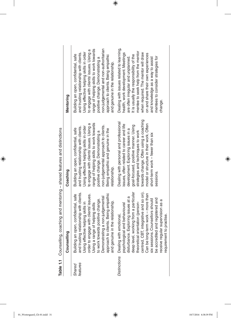Table 1.1 Counselling, coaching and mentoring - shared features and distinctions **Table 1.1** Counselling, coaching and mentoring – shared features and distinctions

|                    | o<br>Counsellin                                                                                                                                                                                                                                                                                                                                                                                                   | Coaching                                                                                                                                                                                                                                                                                                                                           | Mentoring                                                                                                                                                                                                                                                                                                                                                                |
|--------------------|-------------------------------------------------------------------------------------------------------------------------------------------------------------------------------------------------------------------------------------------------------------------------------------------------------------------------------------------------------------------------------------------------------------------|----------------------------------------------------------------------------------------------------------------------------------------------------------------------------------------------------------------------------------------------------------------------------------------------------------------------------------------------------|--------------------------------------------------------------------------------------------------------------------------------------------------------------------------------------------------------------------------------------------------------------------------------------------------------------------------------------------------------------------------|
| features<br>Shared | and trusting relationship with clients.<br>Using effective helping skills in<br>approach to clients. Being empathic<br>open, confidential, safe<br>order to engage with clients' issues.<br>Demonstrating a non-judgemental<br>to work towards positive change.<br>and genuine in the relationship.<br>Using a range of helping skills<br>Building an                                                             | range of helping skills to work towards<br>to engage with clients' issues. Using a<br>non-judgemental approach to clients.<br>Using effective helping skills in order<br>and trusting relationship with clients.<br>Building an open, confidential, safe<br>Being empathic and genuine in the<br>positive change. Demonstrating a<br>relationship. | non-judgemental and non-authoritarian<br>range of helping skills to work towards<br>to engage with clients' issues. Using a<br>Using effective helping skills in order<br>and trusting relationship with clients.<br>Building an open, confidential, safe<br>approach to clients. Being empathic<br>positive change. Demonstrating a<br>and genuine in the relationship. |
|                    | centred, CBT, integrative and so on).<br>deep level, working from a particular<br>Can be long-term work - more than<br>disturbance. Exploring issues at a<br>be accredited and registered and<br>six sessions. Counsellors should<br>receive regular supervision as a<br>orientation (person-<br>psychological and behavioural<br>requirement to practise.<br>Distinctions Dealing with emotional,<br>theoretical | towards change. Often using a coaching<br>Dealing with personal and professional<br>model or structure in their work. Often<br>issues, often related to career and life<br>goal-focused, positive manner. Using<br>development. Exploring issues in a<br>strategies and techniques to work<br>short-term work - fewer than six<br>sessions.        | Dealing with issues related to learning,<br>mentee to seek help from the mentor<br>when required. The mentor will draw<br>health, work development. Meetings<br>on and share their own experiences<br>It is usually the responsibility of the<br>mentees to consider strategies for<br>and knowledge as a way to assist<br>are often irregular and unplanned<br>change.  |

 $\bigoplus$ 

 $\bigoplus$ 

 $\bigoplus$